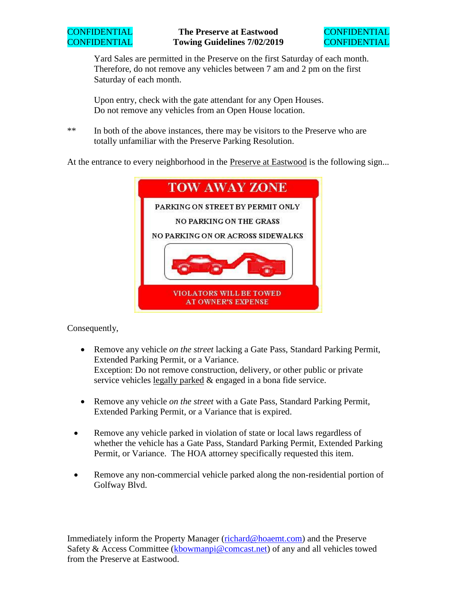

Yard Sales are permitted in the Preserve on the first Saturday of each month. Therefore, do not remove any vehicles between 7 am and 2 pm on the first Saturday of each month.

Upon entry, check with the gate attendant for any Open Houses. Do not remove any vehicles from an Open House location.

\*\* In both of the above instances, there may be visitors to the Preserve who are totally unfamiliar with the Preserve Parking Resolution.

At the entrance to every neighborhood in the Preserve at Eastwood is the following sign...



## Consequently,

- Remove any vehicle *on the street* lacking a Gate Pass, Standard Parking Permit, Extended Parking Permit, or a Variance. Exception: Do not remove construction, delivery, or other public or private service vehicles legally parked & engaged in a bona fide service.
- Remove any vehicle *on the street* with a Gate Pass, Standard Parking Permit, Extended Parking Permit, or a Variance that is expired.
- Remove any vehicle parked in violation of state or local laws regardless of whether the vehicle has a Gate Pass, Standard Parking Permit, Extended Parking Permit, or Variance. The HOA attorney specifically requested this item.
- Remove any non-commercial vehicle parked along the non-residential portion of Golfway Blvd.

Immediately inform the Property Manager (richard@hoaemt.com) and the Preserve Safety & Access Committee (kbowmanpi@comcast.net) of any and all vehicles towed from the Preserve at Eastwood.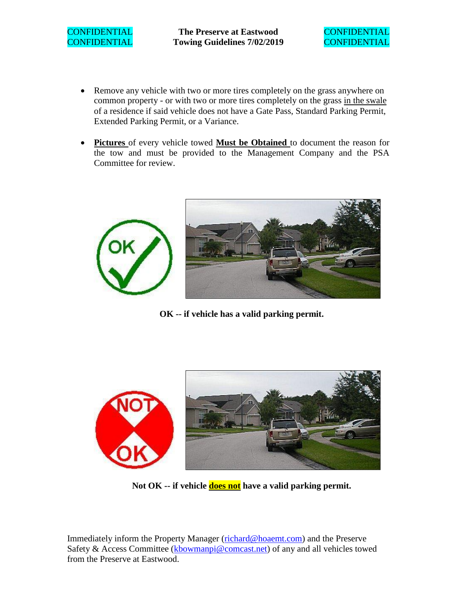CONFIDENTIAL **The Preserve at Eastwood** CONFIDENTIAL CONFIDENTIAL **Towing Guidelines 7/02/2019** CONFIDENTIAL



- Remove any vehicle with two or more tires completely on the grass anywhere on common property - or with two or more tires completely on the grass in the swale of a residence if said vehicle does not have a Gate Pass, Standard Parking Permit, Extended Parking Permit, or a Variance.
- **Pictures** of every vehicle towed **Must be Obtained** to document the reason for the tow and must be provided to the Management Company and the PSA Committee for review.



**OK -- if vehicle has a valid parking permit.**



**Not OK -- if vehicle does not have a valid parking permit.**

Immediately inform the Property Manager (richard@hoaemt.com) and the Preserve Safety & Access Committee (kbowmanpi@comcast.net) of any and all vehicles towed from the Preserve at Eastwood.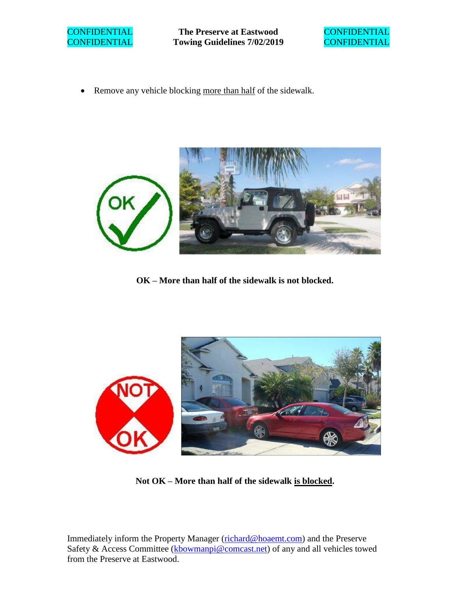

**CONFIDENTIAL The Preserve at Eastwood CONFIDENTIAL** CONFIDENTIAL **Towing Guidelines 7/02/2019** CONFIDENTIAL



• Remove any vehicle blocking more than half of the sidewalk.



**OK – More than half of the sidewalk is not blocked.**



**Not OK – More than half of the sidewalk is blocked.**

Immediately inform the Property Manager (richard@hoaemt.com) and the Preserve Safety & Access Committee (kbowmanpi@comcast.net) of any and all vehicles towed from the Preserve at Eastwood.